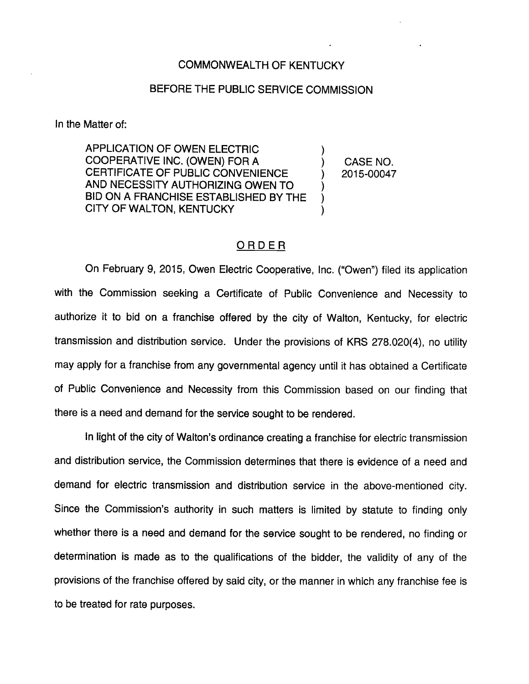## COMMONWEALTH OF KENTUCKY

## BEFORE THE PUBLIC SERVICE COMMISSION

In the Matter of:

APPLICATION OF OWEN ELECTRIC COOPERATIVE INC. (OWEN) FOR A CERTIFICATE OF PUBLIC CONVENIENCE AND NECESSITY AUTHORIZING OWEN TO BID ON A FRANCHISE ESTABLISHED BY THE CITY OF WALTON, KENTUCKY

CASE NO. 2015-00047

## ORDER

On February 9, 2015, Owen Electric Cooperative, Inc. ("Owen") filed its application with the Commission seeking a Certificate of Public Convenience and Necessity to authorize it to bid on a franchise offered by the city of Walton, Kentucky, for electric transmission and distribution service. Under the provisions of KRS 278.020(4), no utility may apply for a franchise from any governmental agency until it has obtained a Certificate of Public Convenience and Necessity from this Commission based on our finding that there is a need and demand for the service sought to be rendered.

In light of the city of Walton's ordinance creating a franchise for electric transmission and distribution service, the Commission determines that there is evidence of a need and demand for electric transmission and distribution service in the above-mentioned city. Since the Commission's authority in such matters is limited by statute to finding only whether there is a need and demand for the service sought to be rendered, no finding or determination is made as to the qualifications of the bidder, the validity of any of the provisions of the franchise offered by said city, or the manner in which any franchise fee is to be treated for rate purposes.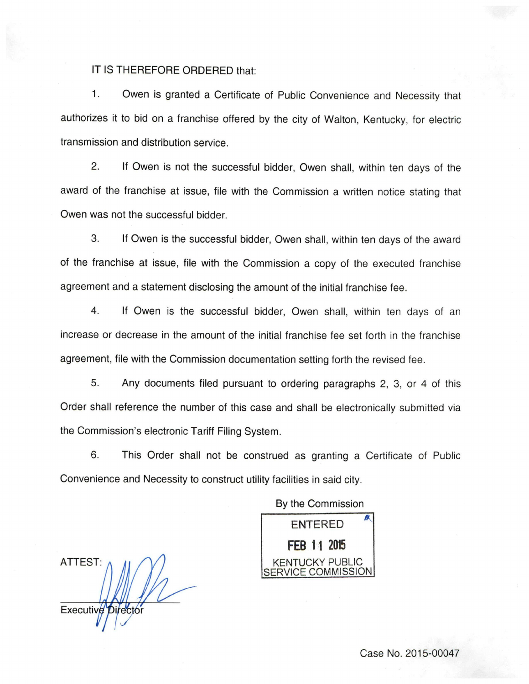## IT IS THEREFORE ORDERED that:

1. Owen is granted a Certificate of Public Convenience and Necessity that authorizes it to bid on a franchise offered by the city of Walton, Kentucky, for electric transmission and distribution service.

2. If Owen is not the successful bidder, Owen shall, within ten days of the award of the franchise at issue, file with the Commission a written notice stating that Owen was not the successful bidder.

3. If Owen is the successful bidder, Owen shall, within ten days of the award of the franchise at issue, file with the Commission a copy of the executed franchise agreement and a statement disclosing the amount of the initial franchise fee.

4. If Owen is the successful bidder, Owen shall, within ten days of an increase or decrease in the amount of the initial franchise fee set forth in the franchise agreement, file with the Commission documentation setting forth the revised fee.

5. Any documents filed pursuant to ordering paragraphs 2, 3, or 4 of this Order shall reference the number of this case and shall be electronically submitted via the Commission's electronic Tariff Filing System.

6. This Order shall not be construed as granting a Certificate of Public Convenience and Necessity to construct utility facilities in said city.

By the Commission

**ENTERED** FEB 11 2015 KENTUCKY PUBLIC **ICE COMMISSION** 

ATTEST: **Executive** 

Case No. 2015-00047